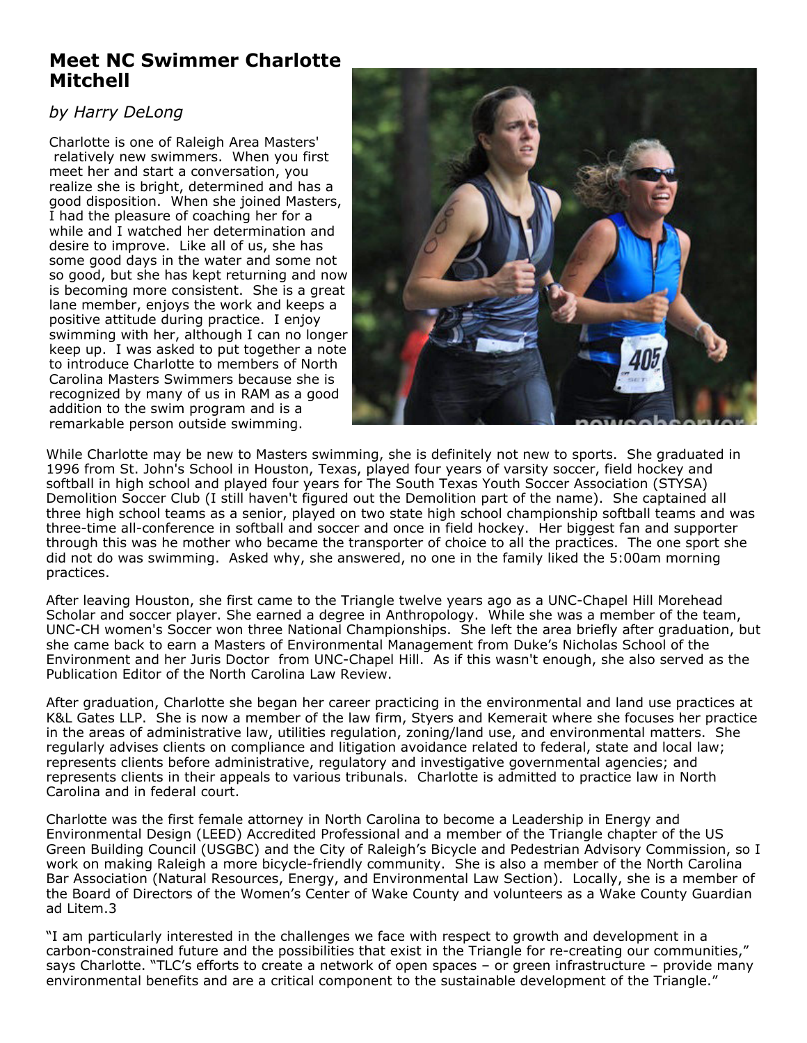## **Meet NC Swimmer Charlotte Mitchell**

## *by Harry DeLong*

Charlotte is one of Raleigh Area Masters' relatively new swimmers. When you first meet her and start a conversation, you realize she is bright, determined and has a good disposition. When she joined Masters, I had the pleasure of coaching her for a while and I watched her determination and desire to improve. Like all of us, she has some good days in the water and some not so good, but she has kept returning and now is becoming more consistent. She is a great lane member, enjoys the work and keeps a positive attitude during practice. I enjoy swimming with her, although I can no longer keep up. I was asked to put together a note to introduce Charlotte to members of North Carolina Masters Swimmers because she is recognized by many of us in RAM as a good addition to the swim program and is a remarkable person outside swimming.



While Charlotte may be new to Masters swimming, she is definitely not new to sports. She graduated in 1996 from St. John's School in Houston, Texas, played four years of varsity soccer, field hockey and softball in high school and played four years for The South Texas Youth Soccer Association (STYSA) Demolition Soccer Club (I still haven't figured out the Demolition part of the name). She captained all three high school teams as a senior, played on two state high school championship softball teams and was three-time all-conference in softball and soccer and once in field hockey. Her biggest fan and supporter through this was he mother who became the transporter of choice to all the practices. The one sport she did not do was swimming. Asked why, she answered, no one in the family liked the 5:00am morning practices.

After leaving Houston, she first came to the Triangle twelve years ago as a UNC-Chapel Hill Morehead Scholar and soccer player. She earned a degree in Anthropology. While she was a member of the team, UNC-CH women's Soccer won three National Championships. She left the area briefly after graduation, but she came back to earn a Masters of Environmental Management from Duke's Nicholas School of the Environment and her Juris Doctor from UNC-Chapel Hill. As if this wasn't enough, she also served as the Publication Editor of the North Carolina Law Review.

After graduation, Charlotte she began her career practicing in the environmental and land use practices at K&L Gates LLP. She is now a member of the law firm, Styers and Kemerait where she focuses her practice in the areas of administrative law, utilities regulation, zoning/land use, and environmental matters. She regularly advises clients on compliance and litigation avoidance related to federal, state and local law; represents clients before administrative, regulatory and investigative governmental agencies; and represents clients in their appeals to various tribunals. Charlotte is admitted to practice law in North Carolina and in federal court.

Charlotte was the first female attorney in North Carolina to become a Leadership in Energy and Environmental Design (LEED) Accredited Professional and a member of the Triangle chapter of the US Green Building Council (USGBC) and the City of Raleigh's Bicycle and Pedestrian Advisory Commission, so I work on making Raleigh a more bicycle-friendly community. She is also a member of the North Carolina Bar Association (Natural Resources, Energy, and Environmental Law Section). Locally, she is a member of the Board of Directors of the Women's Center of Wake County and volunteers as a Wake County Guardian ad Litem.3

"I am particularly interested in the challenges we face with respect to growth and development in a carbon-constrained future and the possibilities that exist in the Triangle for re-creating our communities," says Charlotte. "TLC's efforts to create a network of open spaces – or green infrastructure – provide many environmental benefits and are a critical component to the sustainable development of the Triangle."